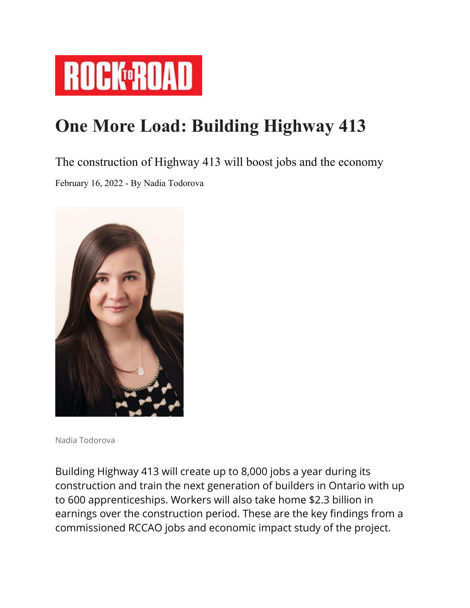

## **One More Load: Building Highway 413**

## The construction of Highway 413 will boost jobs and the economy

February 16, 2022 - By Nadia Todorova



Nadia Todorova

Building Highway 413 will create up to 8,000 jobs a year during its construction and train the next generation of builders in Ontario with up to 600 apprenticeships. Workers will also take home \$2.3 billion in earnings over the construction period. These are the key findings from a commissioned RCCAO jobs and economic impact study of the project.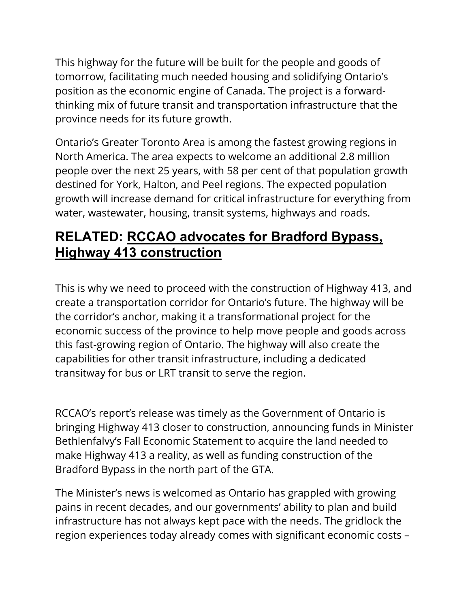This highway for the future will be built for the people and goods of tomorrow, facilitating much needed housing and solidifying Ontario's position as the economic engine of Canada. The project is a forwardthinking mix of future transit and transportation infrastructure that the province needs for its future growth.

Ontario's Greater Toronto Area is among the fastest growing regions in North America. The area expects to welcome an additional 2.8 million people over the next 25 years, with 58 per cent of that population growth destined for York, Halton, and Peel regions. The expected population growth will increase demand for critical infrastructure for everything from water, wastewater, housing, transit systems, highways and roads.

## **RELATED: [RCCAO advocates for Bradford Bypass,](https://www.rocktoroad.com/rccao-bradford-bypass-highway-413-construction/)  [Highway 413 construction](https://www.rocktoroad.com/rccao-bradford-bypass-highway-413-construction/)**

This is why we need to proceed with the construction of Highway 413, and create a transportation corridor for Ontario's future. The highway will be the corridor's anchor, making it a transformational project for the economic success of the province to help move people and goods across this fast-growing region of Ontario. The highway will also create the capabilities for other transit infrastructure, including a dedicated transitway for bus or LRT transit to serve the region.

RCCAO's report's release was timely as the Government of Ontario is bringing Highway 413 closer to construction, announcing funds in Minister Bethlenfalvy's Fall Economic Statement to acquire the land needed to make Highway 413 a reality, as well as funding construction of the Bradford Bypass in the north part of the GTA.

The Minister's news is welcomed as Ontario has grappled with growing pains in recent decades, and our governments' ability to plan and build infrastructure has not always kept pace with the needs. The gridlock the region experiences today already comes with significant economic costs –